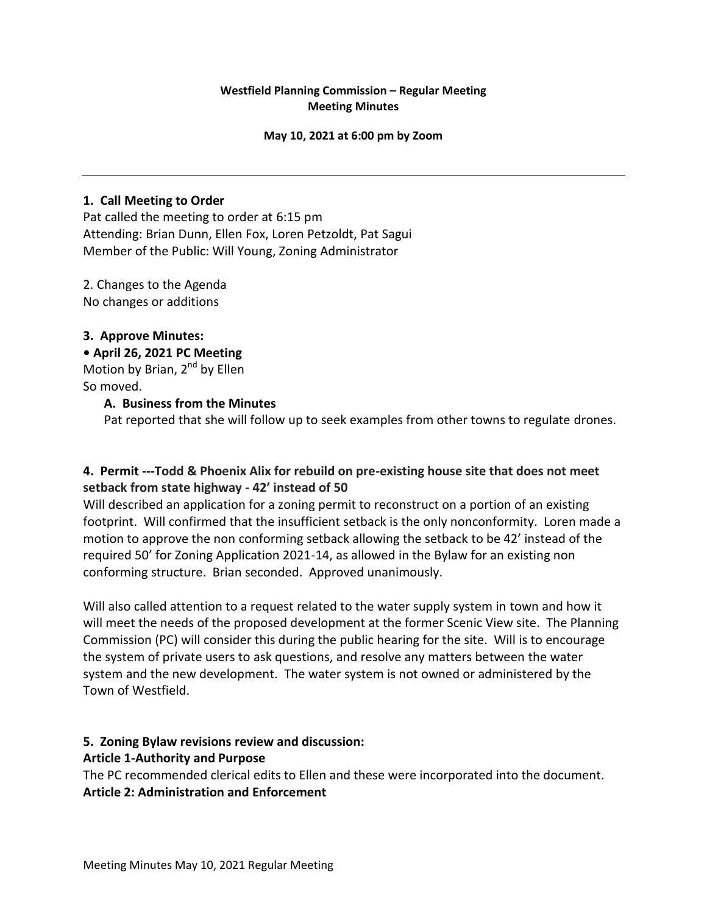### **Westfield Planning Commission – Regular Meeting Meeting Minutes**

#### **May 10, 2021 at 6:00 pm by Zoom**

### **1. Call Meeting to Order**

Pat called the meeting to order at 6:15 pm Attending: Brian Dunn, Ellen Fox, Loren Petzoldt, Pat Sagui Member of the Public: Will Young, Zoning Administrator

2. Changes to the Agenda No changes or additions

### **3. Approve Minutes:**

#### **• April 26, 2021 PC Meeting**

Motion by Brian,  $2^{nd}$  by Ellen So moved.

### **A. Business from the Minutes**

Pat reported that she will follow up to seek examples from other towns to regulate drones.

# **4. Permit ---Todd & Phoenix Alix for rebuild on pre-existing house site that does not meet setback from state highway - 42' instead of 50**

Will described an application for a zoning permit to reconstruct on a portion of an existing footprint. Will confirmed that the insufficient setback is the only nonconformity. Loren made a motion to approve the non conforming setback allowing the setback to be 42' instead of the required 50' for Zoning Application 2021-14, as allowed in the Bylaw for an existing non conforming structure. Brian seconded. Approved unanimously.

Will also called attention to a request related to the water supply system in town and how it will meet the needs of the proposed development at the former Scenic View site. The Planning Commission (PC) will consider this during the public hearing for the site. Will is to encourage the system of private users to ask questions, and resolve any matters between the water system and the new development. The water system is not owned or administered by the Town of Westfield.

## **5. Zoning Bylaw revisions review and discussion:**

#### **Article 1-Authority and Purpose**

The PC recommended clerical edits to Ellen and these were incorporated into the document. **Article 2: Administration and Enforcement**